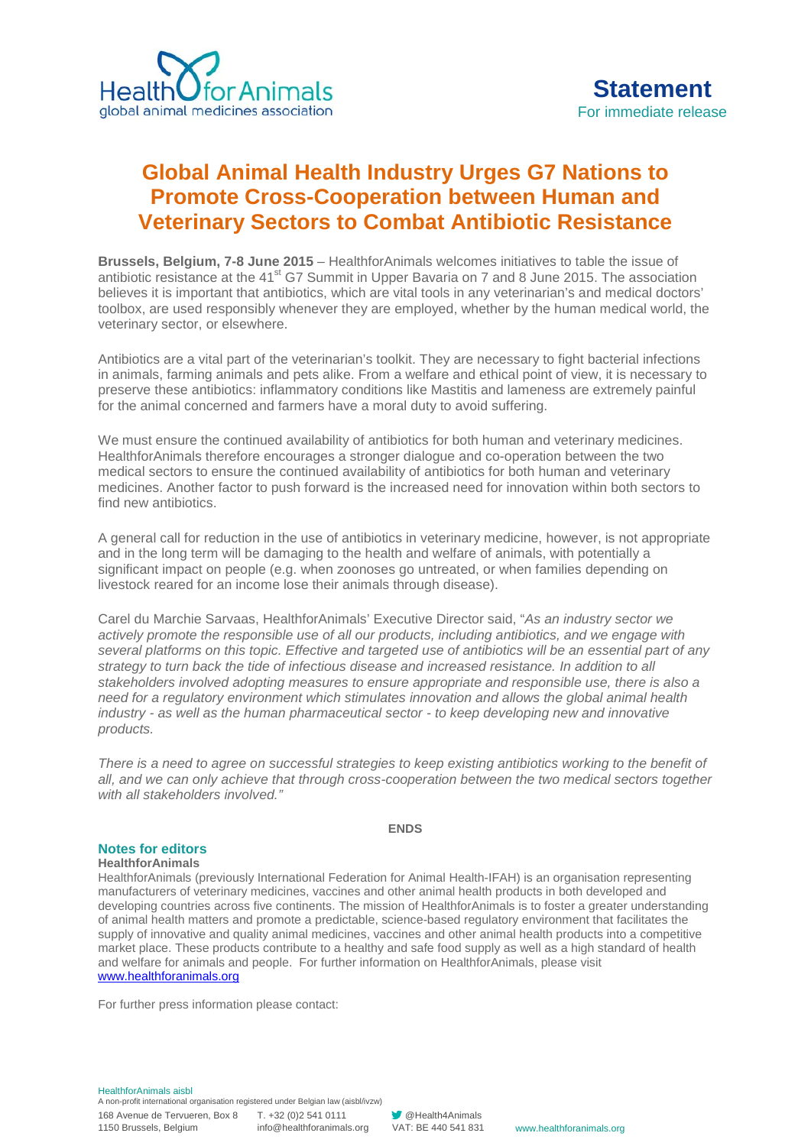

## **Global Animal Health Industry Urges G7 Nations to Promote Cross-Cooperation between Human and Veterinary Sectors to Combat Antibiotic Resistance**

**Brussels, Belgium, 7-8 June 2015** – HealthforAnimals welcomes initiatives to table the issue of antibiotic resistance at the 41<sup>st</sup> G7 Summit in Upper Bayaria on 7 and 8 June 2015. The association believes it is important that antibiotics, which are vital tools in any veterinarian's and medical doctors' toolbox, are used responsibly whenever they are employed, whether by the human medical world, the veterinary sector, or elsewhere.

Antibiotics are a vital part of the veterinarian's toolkit. They are necessary to fight bacterial infections in animals, farming animals and pets alike. From a welfare and ethical point of view, it is necessary to preserve these antibiotics: inflammatory conditions like Mastitis and lameness are extremely painful for the animal concerned and farmers have a moral duty to avoid suffering.

We must ensure the continued availability of antibiotics for both human and veterinary medicines. HealthforAnimals therefore encourages a stronger dialogue and co-operation between the two medical sectors to ensure the continued availability of antibiotics for both human and veterinary medicines. Another factor to push forward is the increased need for innovation within both sectors to find new antibiotics.

A general call for reduction in the use of antibiotics in veterinary medicine, however, is not appropriate and in the long term will be damaging to the health and welfare of animals, with potentially a significant impact on people (e.g. when zoonoses go untreated, or when families depending on livestock reared for an income lose their animals through disease).

Carel du Marchie Sarvaas, HealthforAnimals' Executive Director said, "*As an industry sector we actively promote the responsible use of all our products, including antibiotics, and we engage with several platforms on this topic. Effective and targeted use of antibiotics will be an essential part of any strategy to turn back the tide of infectious disease and increased resistance. In addition to all stakeholders involved adopting measures to ensure appropriate and responsible use, there is also a need for a regulatory environment which stimulates innovation and allows the global animal health industry - as well as the human pharmaceutical sector - to keep developing new and innovative products.*

*There is a need to agree on successful strategies to keep existing antibiotics working to the benefit of all, and we can only achieve that through cross-cooperation between the two medical sectors together with all stakeholders involved."*

## **ENDS**

## **Notes for editors**

**HealthforAnimals**

HealthforAnimals (previously International Federation for Animal Health-IFAH) is an organisation representing manufacturers of veterinary medicines, vaccines and other animal health products in both developed and developing countries across five continents. The mission of HealthforAnimals is to foster a greater understanding of animal health matters and promote a predictable, science-based regulatory environment that facilitates the supply of innovative and quality animal medicines, vaccines and other animal health products into a competitive market place. These products contribute to a healthy and safe food supply as well as a high standard of health and welfare for animals and people. For further information on HealthforAnimals, please visit [www.healthforanimals.org](http://www.healthforanimals.org/)

For further press information please contact: